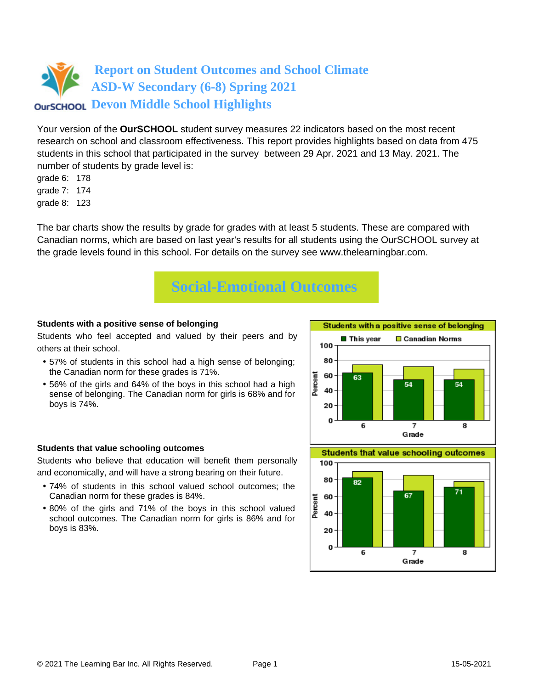

Your version of the **OurSCHOOL** student survey measures 22 indicators based on the most recent research on school and classroom effectiveness. This report provides highlights based on data from 475 students in this school that participated in the survey between 29 Apr. 2021 and 13 May. 2021. The number of students by grade level is:

- grade 6: 178
- grade 7: 174
- grade 8: 123

The bar charts show the results by grade for grades with at least 5 students. These are compared with Canadian norms, which are based on last year's results for all students using the OurSCHOOL survey at the grade levels found in this school. For details on the survey see [www.thelearningbar.com.](www.thelearningbar.com)



### **Students with a positive sense of belonging**

Students who feel accepted and valued by their peers and by others at their school.

- 57% of students in this school had a high sense of belonging; the Canadian norm for these grades is 71%.
- 56% of the girls and 64% of the boys in this school had a high sense of belonging. The Canadian norm for girls is 68% and for boys is 74%.



#### **Students that value schooling outcomes**

Students who believe that education will benefit them personally and economically, and will have a strong bearing on their future.

- 74% of students in this school valued school outcomes; the Canadian norm for these grades is 84%.
- 80% of the girls and 71% of the boys in this school valued school outcomes. The Canadian norm for girls is 86% and for boys is 83%.

**Students that value schooling outcomes** 

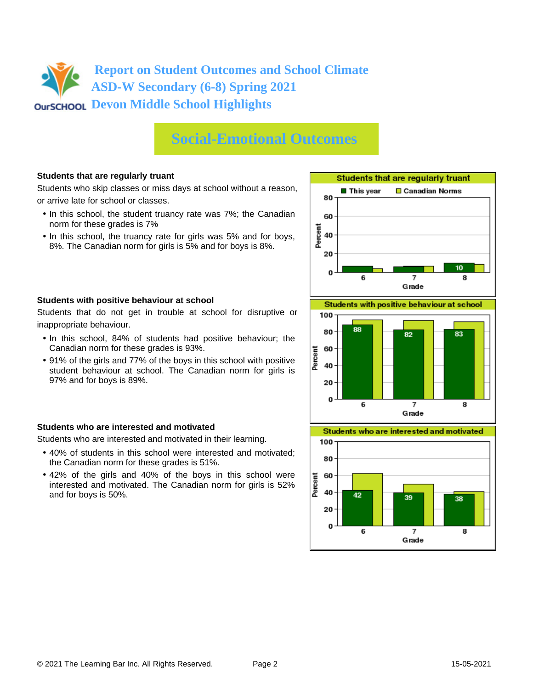# **Social-Emotional Outcomes**

## **Students that are regularly truant**

Students who skip classes or miss days at school without a reason, or arrive late for school or classes.

- In this school, the student truancy rate was 7%; the Canadian norm for these grades is 7%
- In this school, the truancy rate for girls was 5% and for boys, 8%. The Canadian norm for girls is 5% and for boys is 8%.





Students that do not get in trouble at school for disruptive or inappropriate behaviour.

- In this school, 84% of students had positive behaviour; the Canadian norm for these grades is 93%.
- 91% of the girls and 77% of the boys in this school with positive student behaviour at school. The Canadian norm for girls is 97% and for boys is 89%.

## **Students who are interested and motivated**

Students who are interested and motivated in their learning.

- 40% of students in this school were interested and motivated; the Canadian norm for these grades is 51%.
- 42% of the girls and 40% of the boys in this school were interested and motivated. The Canadian norm for girls is 52% and for boys is 50%.



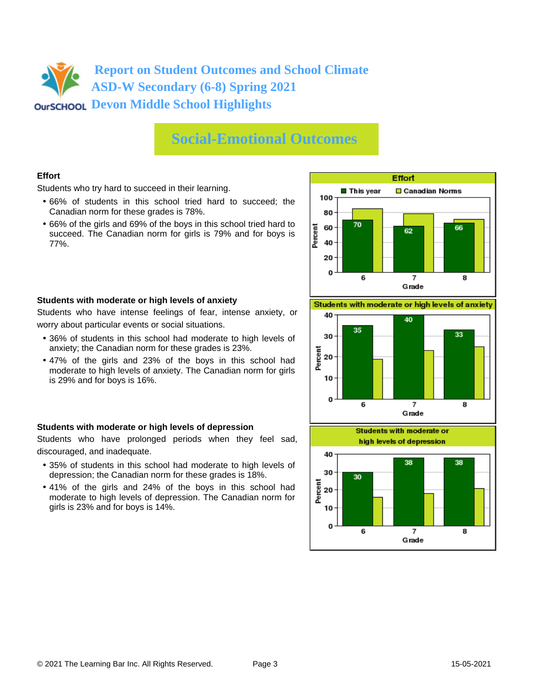## **Social-Emotional Outcomes**

## **Effort**

Students who try hard to succeed in their learning.

- 66% of students in this school tried hard to succeed; the Canadian norm for these grades is 78%.
- 66% of the girls and 69% of the boys in this school tried hard to succeed. The Canadian norm for girls is 79% and for boys is 77%.



#### **Students with moderate or high levels of anxiety**

Students who have intense feelings of fear, intense anxiety, or worry about particular events or social situations.

- 36% of students in this school had moderate to high levels of anxiety; the Canadian norm for these grades is 23%.
- 47% of the girls and 23% of the boys in this school had moderate to high levels of anxiety. The Canadian norm for girls is 29% and for boys is 16%.

#### **Students with moderate or high levels of depression**

Students who have prolonged periods when they feel sad, discouraged, and inadequate.

- 35% of students in this school had moderate to high levels of depression; the Canadian norm for these grades is 18%.
- 41% of the girls and 24% of the boys in this school had moderate to high levels of depression. The Canadian norm for girls is 23% and for boys is 14%.

Students with moderate or high levels of anxiety



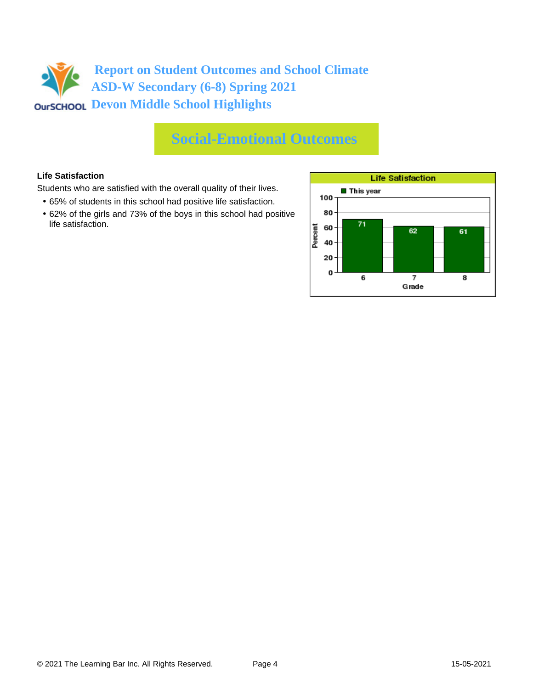# **Social-Emotional Outcomes**

## **Life Satisfaction**

Students who are satisfied with the overall quality of their lives.

- 65% of students in this school had positive life satisfaction.
- 62% of the girls and 73% of the boys in this school had positive life satisfaction.

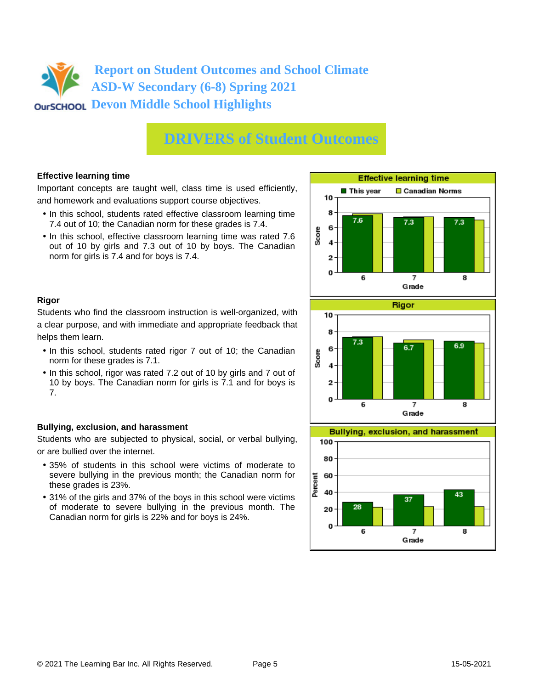# **DRIVERS of Student Outcomes**

## **Effective learning time**

Important concepts are taught well, class time is used efficiently, and homework and evaluations support course objectives.

- In this school, students rated effective classroom learning time 7.4 out of 10; the Canadian norm for these grades is 7.4.
- In this school, effective classroom learning time was rated 7.6 out of 10 by girls and 7.3 out of 10 by boys. The Canadian norm for girls is 7.4 and for boys is 7.4.



## **Rigor**

Students who find the classroom instruction is well-organized, with a clear purpose, and with immediate and appropriate feedback that helps them learn.

- In this school, students rated rigor 7 out of 10; the Canadian norm for these grades is 7.1.
- In this school, rigor was rated 7.2 out of 10 by girls and 7 out of 10 by boys. The Canadian norm for girls is 7.1 and for boys is 7.

## **Bullying, exclusion, and harassment**

Students who are subjected to physical, social, or verbal bullying, or are bullied over the internet.

- 35% of students in this school were victims of moderate to severe bullying in the previous month; the Canadian norm for these grades is 23%.
- 31% of the girls and 37% of the boys in this school were victims of moderate to severe bullying in the previous month. The Canadian norm for girls is 22% and for boys is 24%.



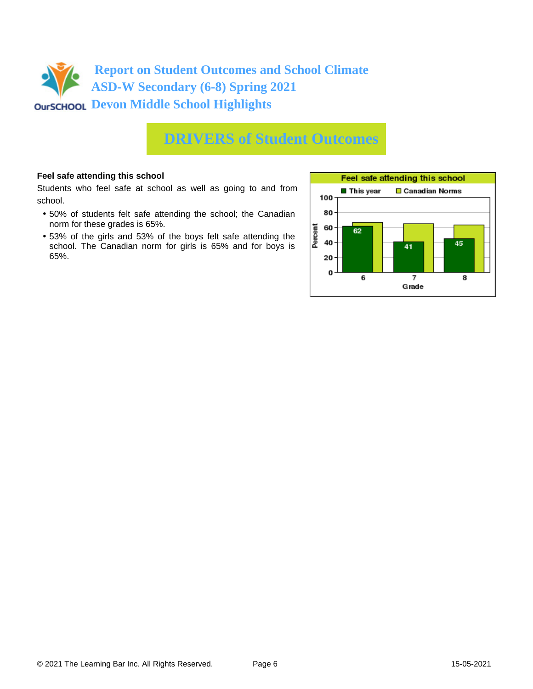

## **DRIVERS of Student Outcomes**

### **Feel safe attending this school**

Students who feel safe at school as well as going to and from school.

- 50% of students felt safe attending the school; the Canadian norm for these grades is 65%.
- 53% of the girls and 53% of the boys felt safe attending the school. The Canadian norm for girls is 65% and for boys is 65%.

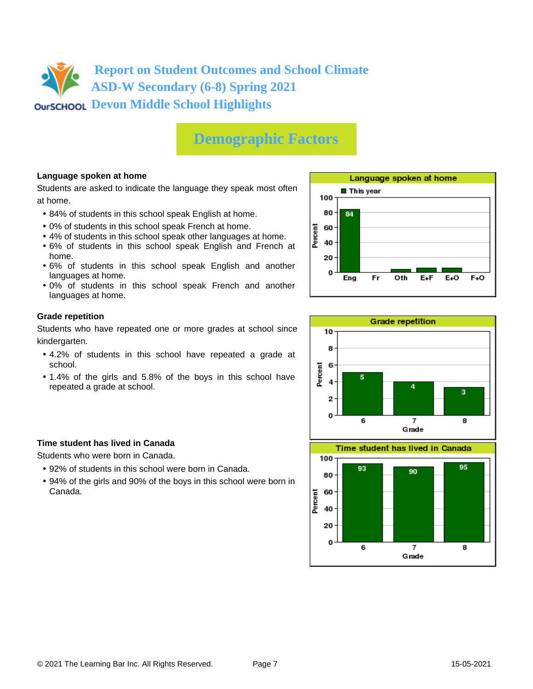# **Demographic Factors**

## **Language spoken at home**

Students are asked to indicate the language they speak most often at home.

- 84% of students in this school speak English at home.
- 0% of students in this school speak French at home.
- 4% of students in this school speak other languages at home.
- 6% of students in this school speak English and French at home.
- 6% of students in this school speak English and another languages at home.
- 0% of students in this school speak French and another languages at home.

#### **Grade repetition**

Students who have repeated one or more grades at school since kindergarten.

- 4.2% of students in this school have repeated a grade at school.
- 1.4% of the girls and 5.8% of the boys in this school have repeated a grade at school.

## **Time student has lived in Canada**

Students who were born in Canada.

- 92% of students in this school were born in Canada.
- 94% of the girls and 90% of the boys in this school were born in Canada.





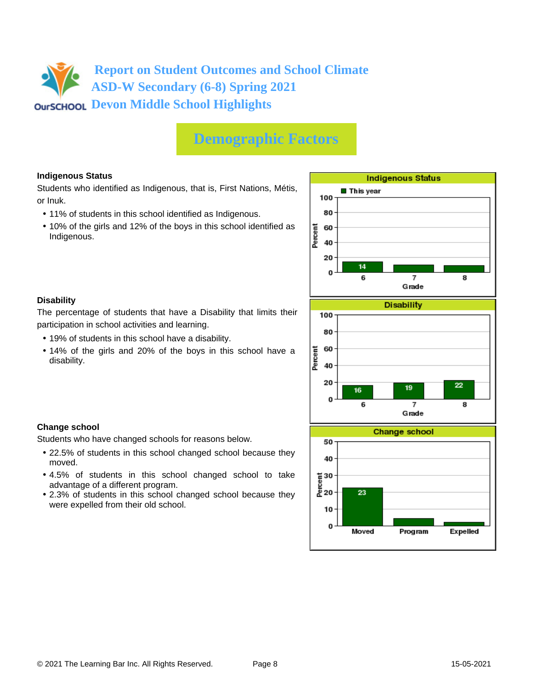# **Demographic Factors**

## **Indigenous Status**

Students who identified as Indigenous, that is, First Nations, Métis, or Inuk.

- 11% of students in this school identified as Indigenous.
- 10% of the girls and 12% of the boys in this school identified as Indigenous.



## **Disability**

**Change school**

moved.

The percentage of students that have a Disability that limits their participation in school activities and learning.

• 19% of students in this school have a disability.

Students who have changed schools for reasons below.

advantage of a different program.

were expelled from their old school.

• 14% of the girls and 20% of the boys in this school have a disability.

• 22.5% of students in this school changed school because they

• 4.5% of students in this school changed school to take

• 2.3% of students in this school changed school because they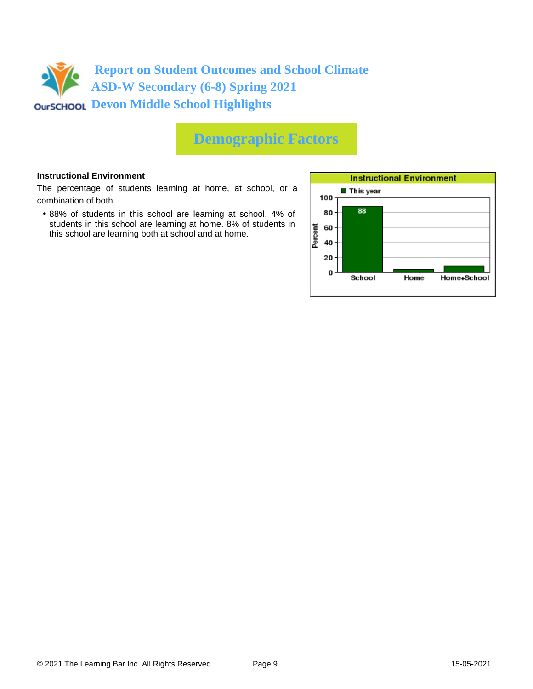

# **Demographic Factors**

#### **Instructional Environment**

The percentage of students learning at home, at school, or a combination of both.

• 88% of students in this school are learning at school. 4% of students in this school are learning at home. 8% of students in this school are learning both at school and at home.

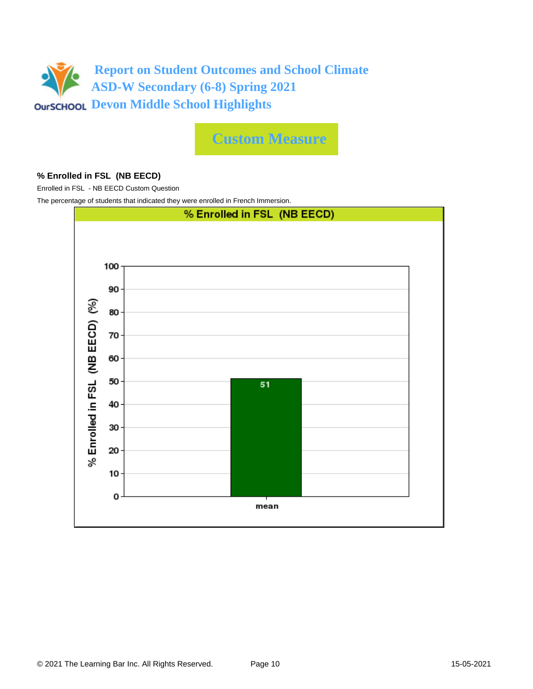

**Custom Measure**

### **% Enrolled in FSL (NB EECD)**

Enrolled in FSL - NB EECD Custom Question

The percentage of students that indicated they were enrolled in French Immersion.

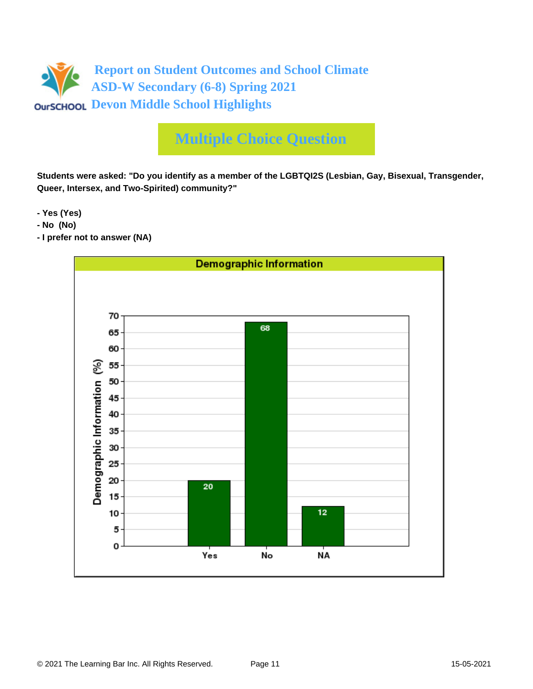

# **Multiple Choice Question**

**Students were asked: "Do you identify as a member of the LGBTQI2S (Lesbian, Gay, Bisexual, Transgender, Queer, Intersex, and Two-Spirited) community?"**

**- Yes (Yes)**

- **No (No)**
- **I prefer not to answer (NA)**

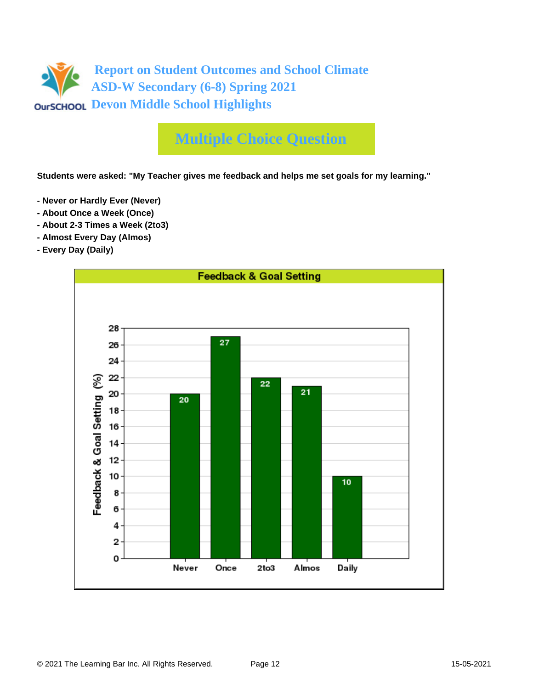

# **Multiple Choice Question**

**Students were asked: "My Teacher gives me feedback and helps me set goals for my learning."**

- **Never or Hardly Ever (Never)**
- **About Once a Week (Once)**
- **About 2-3 Times a Week (2to3)**
- **Almost Every Day (Almos)**
- **Every Day (Daily)**